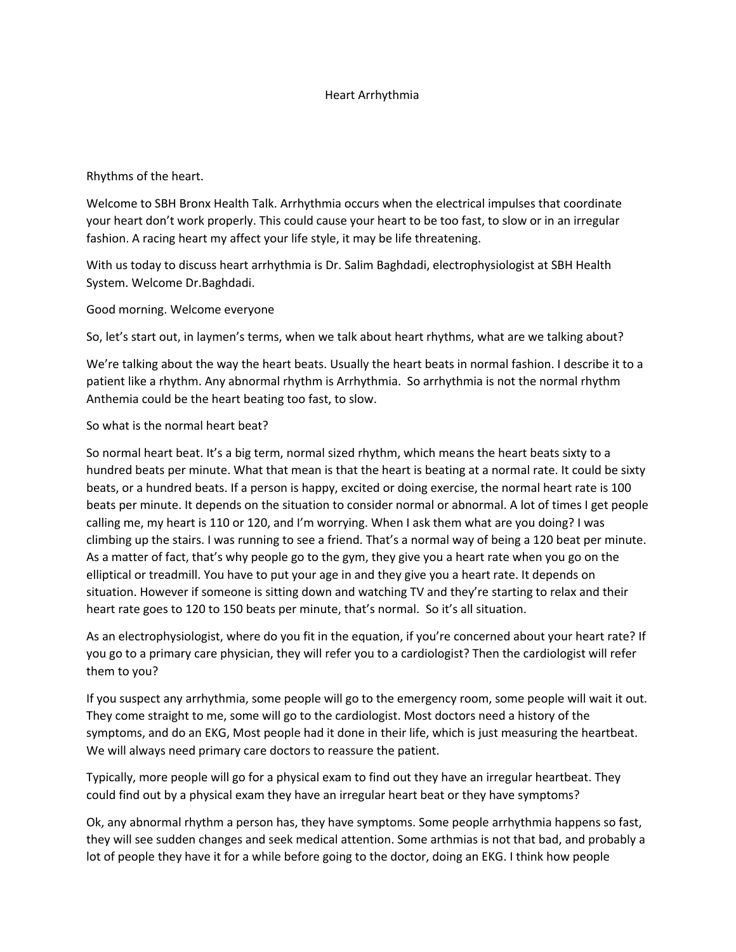## Heart Arrhythmia

Rhythms of the heart.

Welcome to SBH Bronx Health Talk. Arrhythmia occurs when the electrical impulses that coordinate your heart don't work properly. This could cause your heart to be too fast, to slow or in an irregular fashion. A racing heart my affect your life style, it may be life threatening.

With us today to discuss heart arrhythmia is Dr. Salim Baghdadi, electrophysiologist at SBH Health System. Welcome Dr.Baghdadi.

Good morning. Welcome everyone

So, let's start out, in laymen's terms, when we talk about heart rhythms, what are we talking about?

We're talking about the way the heart beats. Usually the heart beats in normal fashion. I describe it to a patient like a rhythm. Any abnormal rhythm is Arrhythmia. So arrhythmia is not the normal rhythm Anthemia could be the heart beating too fast, to slow.

So what is the normal heart beat?

So normal heart beat. It's a big term, normal sized rhythm, which means the heart beats sixty to a hundred beats per minute. What that mean is that the heart is beating at a normal rate. It could be sixty beats, or a hundred beats. If a person is happy, excited or doing exercise, the normal heart rate is 100 beats per minute. It depends on the situation to consider normal or abnormal. A lot of times I get people calling me, my heart is 110 or 120, and I'm worrying. When I ask them what are you doing? I was climbing up the stairs. I was running to see a friend. That's a normal way of being a 120 beat per minute. As a matter of fact, that's why people go to the gym, they give you a heart rate when you go on the elliptical or treadmill. You have to put your age in and they give you a heart rate. It depends on situation. However if someone is sitting down and watching TV and they're starting to relax and their heart rate goes to 120 to 150 beats per minute, that's normal. So it's all situation.

As an electrophysiologist, where do you fit in the equation, if you're concerned about your heart rate? If you go to a primary care physician, they will refer you to a cardiologist? Then the cardiologist will refer them to you?

If you suspect any arrhythmia, some people will go to the emergency room, some people will wait it out. They come straight to me, some will go to the cardiologist. Most doctors need a history of the symptoms, and do an EKG, Most people had it done in their life, which is just measuring the heartbeat. We will always need primary care doctors to reassure the patient.

Typically, more people will go for a physical exam to find out they have an irregular heartbeat. They could find out by a physical exam they have an irregular heart beat or they have symptoms?

Ok, any abnormal rhythm a person has, they have symptoms. Some people arrhythmia happens so fast, they will see sudden changes and seek medical attention. Some arthmias is not that bad, and probably a lot of people they have it for a while before going to the doctor, doing an EKG. I think how people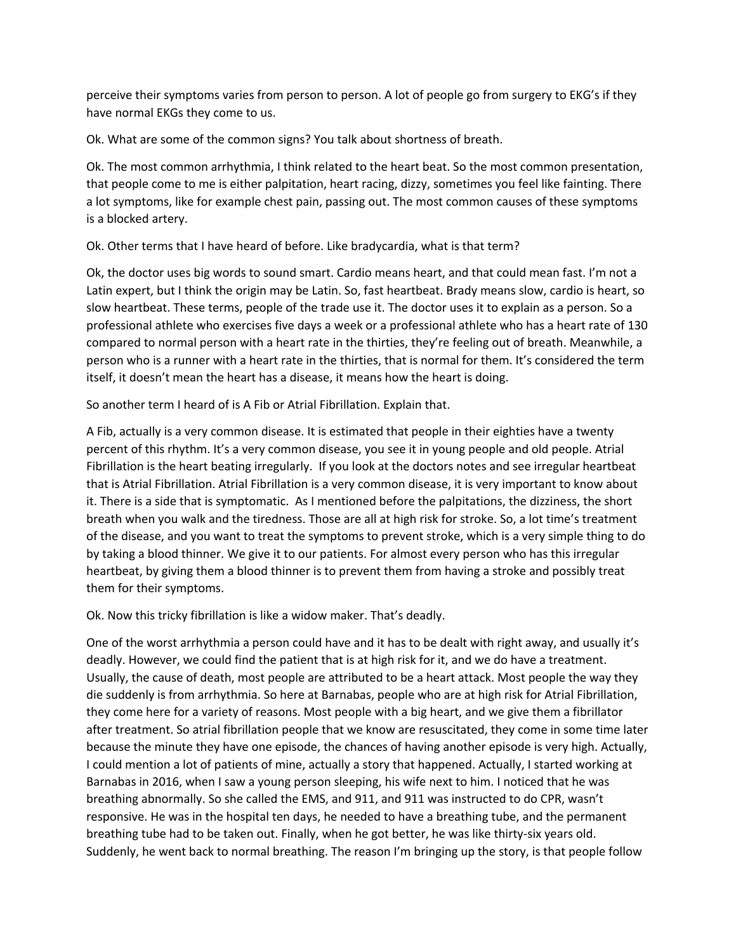perceive their symptoms varies from person to person. A lot of people go from surgery to EKG's if they have normal EKGs they come to us.

Ok. What are some of the common signs? You talk about shortness of breath.

Ok. The most common arrhythmia, I think related to the heart beat. So the most common presentation, that people come to me is either palpitation, heart racing, dizzy, sometimes you feel like fainting. There a lot symptoms, like for example chest pain, passing out. The most common causes of these symptoms is a blocked artery.

Ok. Other terms that I have heard of before. Like bradycardia, what is that term?

Ok, the doctor uses big words to sound smart. Cardio means heart, and that could mean fast. I'm not a Latin expert, but I think the origin may be Latin. So, fast heartbeat. Brady means slow, cardio is heart, so slow heartbeat. These terms, people of the trade use it. The doctor uses it to explain as a person. So a professional athlete who exercises five days a week or a professional athlete who has a heart rate of 130 compared to normal person with a heart rate in the thirties, they're feeling out of breath. Meanwhile, a person who is a runner with a heart rate in the thirties, that is normal for them. It's considered the term itself, it doesn't mean the heart has a disease, it means how the heart is doing.

So another term I heard of is A Fib or Atrial Fibrillation. Explain that.

A Fib, actually is a very common disease. It is estimated that people in their eighties have a twenty percent of this rhythm. It's a very common disease, you see it in young people and old people. Atrial Fibrillation is the heart beating irregularly. If you look at the doctors notes and see irregular heartbeat that is Atrial Fibrillation. Atrial Fibrillation is a very common disease, it is very important to know about it. There is a side that is symptomatic. As I mentioned before the palpitations, the dizziness, the short breath when you walk and the tiredness. Those are all at high risk for stroke. So, a lot time's treatment of the disease, and you want to treat the symptoms to prevent stroke, which is a very simple thing to do by taking a blood thinner. We give it to our patients. For almost every person who has this irregular heartbeat, by giving them a blood thinner is to prevent them from having a stroke and possibly treat them for their symptoms.

Ok. Now this tricky fibrillation is like a widow maker. That's deadly.

One of the worst arrhythmia a person could have and it has to be dealt with right away, and usually it's deadly. However, we could find the patient that is at high risk for it, and we do have a treatment. Usually, the cause of death, most people are attributed to be a heart attack. Most people the way they die suddenly is from arrhythmia. So here at Barnabas, people who are at high risk for Atrial Fibrillation, they come here for a variety of reasons. Most people with a big heart, and we give them a fibrillator after treatment. So atrial fibrillation people that we know are resuscitated, they come in some time later because the minute they have one episode, the chances of having another episode is very high. Actually, I could mention a lot of patients of mine, actually a story that happened. Actually, I started working at Barnabas in 2016, when I saw a young person sleeping, his wife next to him. I noticed that he was breathing abnormally. So she called the EMS, and 911, and 911 was instructed to do CPR, wasn't responsive. He was in the hospital ten days, he needed to have a breathing tube, and the permanent breathing tube had to be taken out. Finally, when he got better, he was like thirty-six years old. Suddenly, he went back to normal breathing. The reason I'm bringing up the story, is that people follow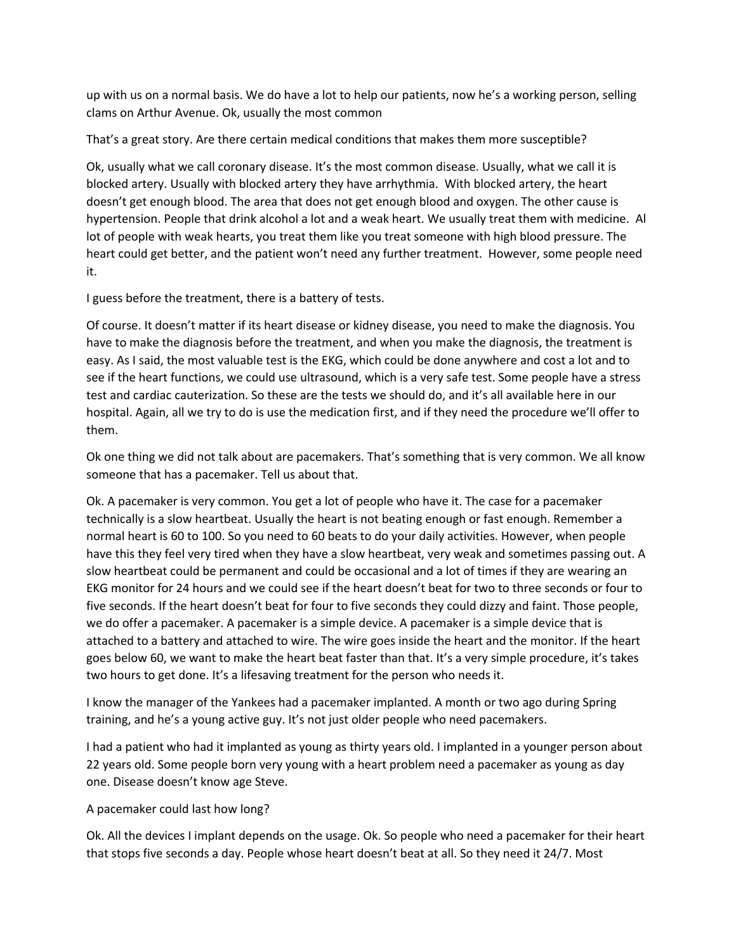up with us on a normal basis. We do have a lot to help our patients, now he's a working person, selling clams on Arthur Avenue. Ok, usually the most common

That's a great story. Are there certain medical conditions that makes them more susceptible?

Ok, usually what we call coronary disease. It's the most common disease. Usually, what we call it is blocked artery. Usually with blocked artery they have arrhythmia. With blocked artery, the heart doesn't get enough blood. The area that does not get enough blood and oxygen. The other cause is hypertension. People that drink alcohol a lot and a weak heart. We usually treat them with medicine. Al lot of people with weak hearts, you treat them like you treat someone with high blood pressure. The heart could get better, and the patient won't need any further treatment. However, some people need it.

I guess before the treatment, there is a battery of tests.

Of course. It doesn't matter if its heart disease or kidney disease, you need to make the diagnosis. You have to make the diagnosis before the treatment, and when you make the diagnosis, the treatment is easy. As I said, the most valuable test is the EKG, which could be done anywhere and cost a lot and to see if the heart functions, we could use ultrasound, which is a very safe test. Some people have a stress test and cardiac cauterization. So these are the tests we should do, and it's all available here in our hospital. Again, all we try to do is use the medication first, and if they need the procedure we'll offer to them.

Ok one thing we did not talk about are pacemakers. That's something that is very common. We all know someone that has a pacemaker. Tell us about that.

Ok. A pacemaker is very common. You get a lot of people who have it. The case for a pacemaker technically is a slow heartbeat. Usually the heart is not beating enough or fast enough. Remember a normal heart is 60 to 100. So you need to 60 beats to do your daily activities. However, when people have this they feel very tired when they have a slow heartbeat, very weak and sometimes passing out. A slow heartbeat could be permanent and could be occasional and a lot of times if they are wearing an EKG monitor for 24 hours and we could see if the heart doesn't beat for two to three seconds or four to five seconds. If the heart doesn't beat for four to five seconds they could dizzy and faint. Those people, we do offer a pacemaker. A pacemaker is a simple device. A pacemaker is a simple device that is attached to a battery and attached to wire. The wire goes inside the heart and the monitor. If the heart goes below 60, we want to make the heart beat faster than that. It's a very simple procedure, it's takes two hours to get done. It's a lifesaving treatment for the person who needs it.

I know the manager of the Yankees had a pacemaker implanted. A month or two ago during Spring training, and he's a young active guy. It's not just older people who need pacemakers.

I had a patient who had it implanted as young as thirty years old. I implanted in a younger person about 22 years old. Some people born very young with a heart problem need a pacemaker as young as day one. Disease doesn't know age Steve.

## A pacemaker could last how long?

Ok. All the devices I implant depends on the usage. Ok. So people who need a pacemaker for their heart that stops five seconds a day. People whose heart doesn't beat at all. So they need it 24/7. Most